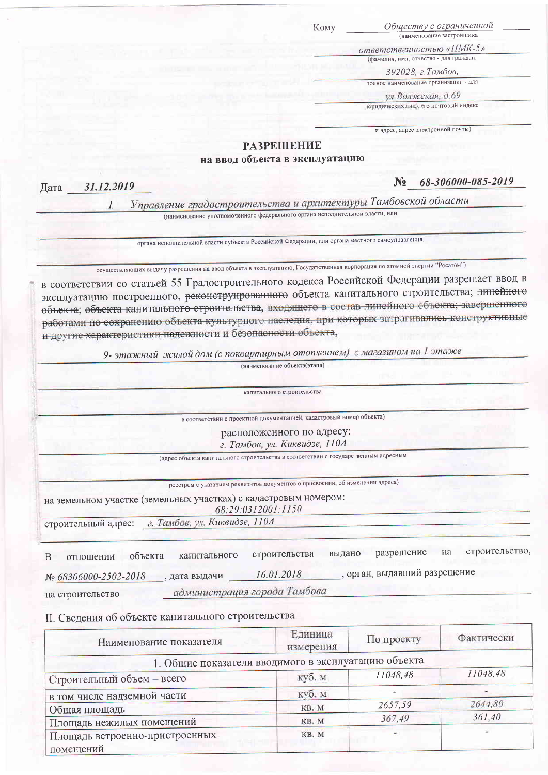KOMV

Обществу с ограниченной (наименование застройщика

ответственностью «ПМК-5» (фамилия, имя, отчество - для граждан,

392028, г. Тамбов,

полное наименование организации - для

ул. Волжская, д.69

юридических лиц), его почтовый индекс

и адрес, адрес электронной почты)

## **РАЗРЕШЕНИЕ**

на ввод объекта в эксплуатацию

68-306000-085-2019  $\mathbf{N_2}$ 

31.12.2019 Дата

 $\overline{L}$ 

Управление градостроительства и архитектуры Тамбовской области

(наименование уполномоченного федерального органа исполнительной власти, или

органа исполнительной власти субъекта Российской Федерации, или органа местного самоуправления,

осуществляющих выдачу разрешения на ввод объекта в эксплуатацию, Государственная корпорация по атомной энергии "Росатом")

в соответствии со статьей 55 Градостроительного кодекса Российской Федерации разрешает ввод в эксплуатацию построенного, реконструированного объекта капитального строительства; яннейного объекта; объекта капитального строительства, входящего в состав линейного объекта; завершенного работами по сохранению объекта культурного наследия, при которых затрагивались конструктивные и другие характеристики надежности и безопасности объекта,

9- этажный жилой дом (с поквартирным отоплением) с магазином на 1 этаже

(наименование объекта(этапа) капитального строительства в соответствии с проектной документацией, кадастровый номер объекта) расположенного по адресу: г. Тамбов, ул. Киквидзе, 110А (адрес объекта капитального строительства в соответствии с государственным адресным реестром с указанием реквизитов документов о присвоении, об изменении адреса) на земельном участке (земельных участках) с кадастровым номером: 68:29:0312001:1150 строительный адрес: г. Тамбов, ул. Киквидзе, 110А строительство, разрешение на строительства вылано объекта капитального  $\overline{B}$ отношении

, орган, выдавший разрешение 16.01.2018 № 68306000-2502-2018 , дата выдачи

администрация города Тамбова на строительство

II. Сведения об объекте капитального строительства

| Наименование показателя                              | Единица<br>измерения | По проекту | Фактически |
|------------------------------------------------------|----------------------|------------|------------|
| 1. Общие показатели вводимого в эксплуатацию объекта |                      |            |            |
| Строительный объем - всего                           | куб. м               | 11048,48   | 11048,48   |
| в том числе надземной части                          | куб. м               |            |            |
| Общая площадь                                        | KB. M                | 2657,59    | 2644,80    |
| Площадь нежилых помещений                            | KB. M                | 367,49     | 361,40     |
| Площадь встроенно-пристроенных<br>помещений          | KB. M                |            |            |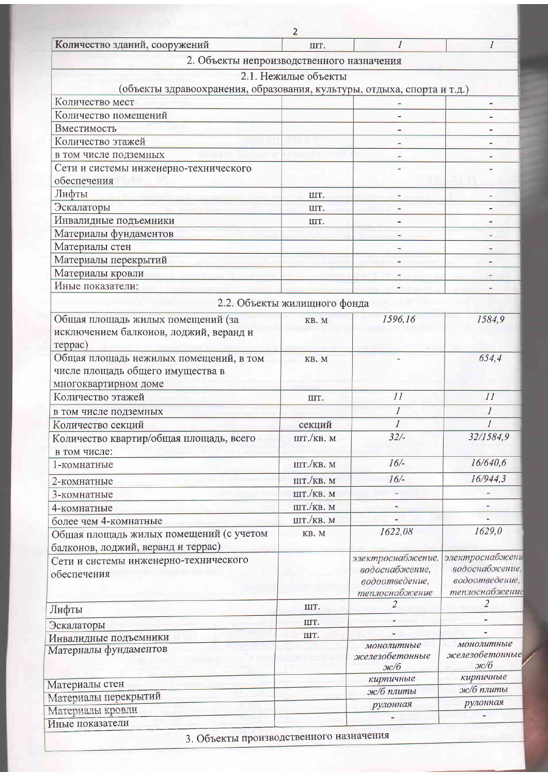| Количество зданий, сооружений                                           | IIIT.                        |                                  | $\mathcal I$                     |
|-------------------------------------------------------------------------|------------------------------|----------------------------------|----------------------------------|
| 2. Объекты непроизводственного назначения                               |                              |                                  |                                  |
|                                                                         | 2.1. Нежилые объекты         |                                  |                                  |
| (объекты здравоохранения, образования, культуры, отдыха, спорта и т.д.) |                              |                                  |                                  |
| Количество мест                                                         |                              |                                  |                                  |
| Количество помещений                                                    |                              |                                  |                                  |
| Вместимость                                                             |                              |                                  |                                  |
| Количество этажей                                                       |                              |                                  |                                  |
| в том числе подземных                                                   |                              |                                  |                                  |
| Сети и системы инженерно-технического                                   |                              |                                  |                                  |
| обеспечения                                                             |                              |                                  |                                  |
| Лифты                                                                   | IIIT.                        |                                  |                                  |
| Эскалаторы                                                              | ШT.                          |                                  |                                  |
| Инвалидные подъемники                                                   | IIIT.                        |                                  |                                  |
| Материалы фундаментов                                                   |                              |                                  |                                  |
| Материалы стен                                                          |                              |                                  |                                  |
| Материалы перекрытий                                                    |                              |                                  |                                  |
| Материалы кровли                                                        |                              |                                  |                                  |
| Иные показатели:                                                        |                              |                                  |                                  |
|                                                                         | 2.2. Объекты жилищного фонда |                                  |                                  |
| Общая площадь жилых помещений (за                                       | KB. M                        | 1596,16                          | 1584,9                           |
| исключением балконов, лоджий, веранд и                                  |                              |                                  |                                  |
| reppac)                                                                 |                              |                                  |                                  |
| Общая площадь нежилых помещений, в том                                  | KB. M                        |                                  | 654,4                            |
| числе площадь общего имущества в                                        |                              |                                  |                                  |
| многоквартирном доме                                                    |                              |                                  |                                  |
| Количество этажей                                                       | IIIT.                        | 11                               | 11                               |
| в том числе подземных                                                   |                              | $\overline{I}$                   | $\boldsymbol{I}$                 |
| Количество секций                                                       | секций                       |                                  |                                  |
| Количество квартир/общая площадь, всего                                 | ШТ./КВ. М                    | 32/                              | 32/1584,9                        |
| в том числе:                                                            |                              |                                  |                                  |
| 1-комнатные                                                             | IUT./KB. M                   | $16/$ -                          | 16/640,6                         |
| 2-комнатные                                                             | IIIT./KB. M                  | 16/                              | 16/944,3                         |
| 3-комнатные                                                             | шт./кв. м                    |                                  |                                  |
| 4-комнатные                                                             | ШТ./КВ. М                    |                                  |                                  |
| более чем 4-комнатные                                                   | ШТ./КВ. М                    |                                  |                                  |
| Общая площадь жилых помещений (с учетом                                 | KB. M                        | 1622,08                          | 1629,0                           |
| балконов, лоджий, веранд и террас)                                      |                              |                                  |                                  |
| Сети и системы инженерно-технического                                   |                              | электроснабжение,                | электроснабжени                  |
| обеспечения                                                             |                              | водоснабжение,                   | водоснабжение,<br>водоотведение, |
|                                                                         |                              | водоотведение,<br>теплоснабжение | теплоснабжение                   |
|                                                                         | IIIT.                        | $\overline{2}$                   | $\overline{2}$                   |
| Лифты                                                                   |                              |                                  |                                  |
| Эскалаторы                                                              | IIT.                         |                                  |                                  |
| Инвалидные подъемники                                                   | IIIT.                        | монолитные                       | монолитные                       |
| Материалы фундаментов                                                   |                              | железобетонные                   | железобетонные                   |
|                                                                         |                              | $2$ к $/6$                       | $3E/6$                           |
| Материалы стен                                                          |                              | кирпичные                        | кирпичные                        |
| Материалы перекрытий                                                    |                              | ж/б плиты                        | ж/б плиты                        |
| Материалы кровли                                                        |                              | рулонная                         | рулонная                         |
| Иные показатели                                                         |                              |                                  |                                  |

 $\overline{2}$ 

3. Объекты производственного наз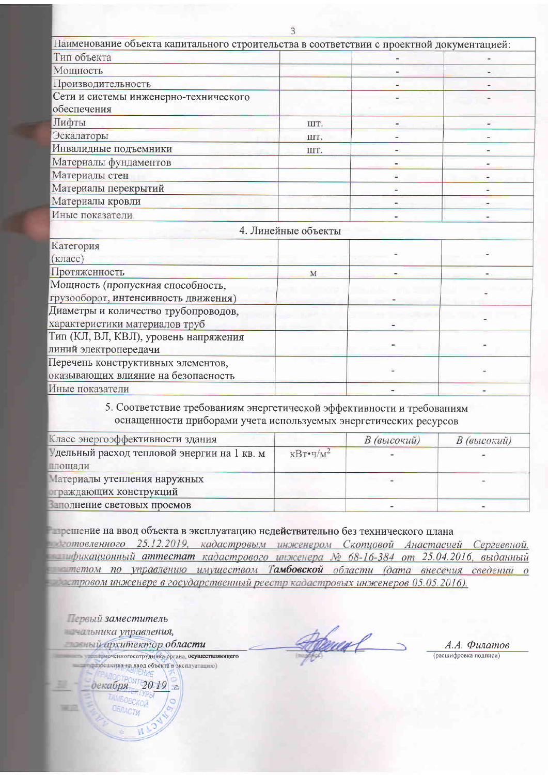| Наименование объекта капитального строительства в соответствии с проектной документацией:                                                   |                     |  |
|---------------------------------------------------------------------------------------------------------------------------------------------|---------------------|--|
| Тип объекта                                                                                                                                 |                     |  |
| Мощность                                                                                                                                    |                     |  |
| Производительность                                                                                                                          |                     |  |
| Сети и системы инженерно-технического                                                                                                       |                     |  |
| обеспечения                                                                                                                                 |                     |  |
| Лифты                                                                                                                                       | ШT.                 |  |
| Эскалаторы                                                                                                                                  | IIIT.               |  |
| Инвалидные подъемники                                                                                                                       | IIIT.               |  |
| Материалы фундаментов                                                                                                                       |                     |  |
| Материалы стен                                                                                                                              |                     |  |
| Материалы перекрытий                                                                                                                        |                     |  |
| Материалы кровли                                                                                                                            |                     |  |
| Иные показатели                                                                                                                             |                     |  |
|                                                                                                                                             | 4. Линейные объекты |  |
| Категория                                                                                                                                   |                     |  |
| (класс)                                                                                                                                     |                     |  |
| Протяженность                                                                                                                               | M                   |  |
| Мощность (пропускная способность,                                                                                                           |                     |  |
| грузооборот, интенсивность движения)                                                                                                        |                     |  |
| Диаметры и количество трубопроводов,                                                                                                        |                     |  |
| характеристики материалов труб                                                                                                              |                     |  |
| Тип (КЛ, ВЛ, КВЛ), уровень напряжения                                                                                                       |                     |  |
| линий электропередачи                                                                                                                       |                     |  |
| Перечень конструктивных элементов,                                                                                                          |                     |  |
| оказывающих влияние на безопасность                                                                                                         |                     |  |
| Иные показатели                                                                                                                             |                     |  |
| 5. Соответствие требованиям энергетической эффективности и требованиям<br>оснащенности приборами учета используемых энергетических ресурсов |                     |  |

| Класс энергоэффективности здания           |                                      | В (высокий) | В (высокий) |
|--------------------------------------------|--------------------------------------|-------------|-------------|
| дельный расход тепловой энергии на 1 кв. м | $\kappa B$ T $\cdot$ $\frac{q}{M^2}$ |             |             |
| лощади                                     |                                      |             |             |
| латериалы утепления наружных               |                                      |             |             |
| траждающих конструкций                     |                                      |             |             |
| полнение световых проемов                  |                                      |             |             |

прешение на ввод объекта в эксплуатацию недействительно без технического плана

Претовленного 25.12.2019, кадастровым инженером Скопуовой Анастасией Сергеевной, фикационный аттестат кадастрового инженера № 68-16-384 от 25.04.2016, выданный тетом по управлению имуществом Тамбовской области (дата внесения сведений о тровом инженере в государственный реестр кадастровых инженеров 05.05.2016).

Первый заместитель нальника управления, ный архитектор области

**декабря** 

**Sali** (C)

помоченногосотрудника органа, осуществляющего последнения на ввод объекта в эксплуатацию)

 $2019$  2

**KTVPbl** TAMBOBCKOW ОБЛАСТИ

Ÿ.

<u>baca f</u>

А.А. Филатов (расшифровка подписи)